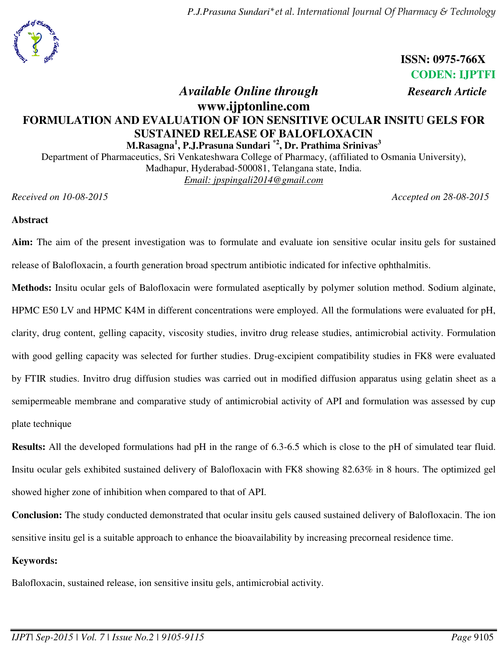*P.J.Prasuna Sundari\*et al. International Journal Of Pharmacy & Technology*



**ISSN: 0975-766X CODEN: IJPTFI** 

# *Available Online through Research Article* **www.ijptonline.com FORMULATION AND EVALUATION OF ION SENSITIVE OCULAR INSITU GELS FOR SUSTAINED RELEASE OF BALOFLOXACIN M.Rasagna<sup>1</sup> , P.J.Prasuna Sundari \*2 , Dr. Prathima Srinivas<sup>3</sup>**

Department of Pharmaceutics, Sri Venkateshwara College of Pharmacy, (affiliated to Osmania University), Madhapur, Hyderabad-500081, Telangana state, India. *Email: [jpspingali2014@gmail.com](mailto:jpspingali2014@gmail.com)* 

*Received on 10-08-2015 Accepted on 28-08-2015*

## **Abstract**

**Aim:** The aim of the present investigation was to formulate and evaluate ion sensitive ocular insitu gels for sustained release of Balofloxacin, a fourth generation broad spectrum antibiotic indicated for infective ophthalmitis.

**Methods:** Insitu ocular gels of Balofloxacin were formulated aseptically by polymer solution method. Sodium alginate, HPMC E50 LV and HPMC K4M in different concentrations were employed. All the formulations were evaluated for pH, clarity, drug content, gelling capacity, viscosity studies, invitro drug release studies, antimicrobial activity. Formulation with good gelling capacity was selected for further studies. Drug-excipient compatibility studies in FK8 were evaluated by FTIR studies. Invitro drug diffusion studies was carried out in modified diffusion apparatus using gelatin sheet as a semipermeable membrane and comparative study of antimicrobial activity of API and formulation was assessed by cup plate technique

**Results:** All the developed formulations had pH in the range of 6.3-6.5 which is close to the pH of simulated tear fluid. Insitu ocular gels exhibited sustained delivery of Balofloxacin with FK8 showing 82.63% in 8 hours. The optimized gel showed higher zone of inhibition when compared to that of API.

**Conclusion:** The study conducted demonstrated that ocular insitu gels caused sustained delivery of Balofloxacin. The ion sensitive insitu gel is a suitable approach to enhance the bioavailability by increasing precorneal residence time.

## **Keywords:**

Balofloxacin, sustained release, ion sensitive insitu gels, antimicrobial activity.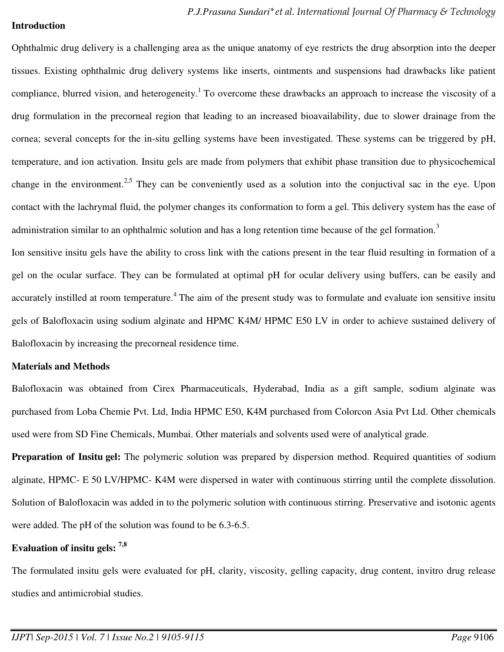#### **Introduction**

Ophthalmic drug delivery is a challenging area as the unique anatomy of eye restricts the drug absorption into the deeper tissues. Existing ophthalmic drug delivery systems like inserts, ointments and suspensions had drawbacks like patient compliance, blurred vision, and heterogeneity.<sup>1</sup> To overcome these drawbacks an approach to increase the viscosity of a drug formulation in the precorneal region that leading to an increased bioavailability, due to slower drainage from the cornea; several concepts for the in-situ gelling systems have been investigated. These systems can be triggered by pH, temperature, and ion activation. Insitu gels are made from polymers that exhibit phase transition due to physicochemical change in the environment.<sup>2,5</sup> They can be conveniently used as a solution into the conjuctival sac in the eye. Upon contact with the lachrymal fluid, the polymer changes its conformation to form a gel. This delivery system has the ease of administration similar to an ophthalmic solution and has a long retention time because of the gel formation.<sup>3</sup>

Ion sensitive insitu gels have the ability to cross link with the cations present in the tear fluid resulting in formation of a gel on the ocular surface. They can be formulated at optimal pH for ocular delivery using buffers, can be easily and accurately instilled at room temperature.<sup>4</sup> The aim of the present study was to formulate and evaluate ion sensitive insitu gels of Balofloxacin using sodium alginate and HPMC K4M/ HPMC E50 LV in order to achieve sustained delivery of Balofloxacin by increasing the precorneal residence time.

#### **Materials and Methods**

Balofloxacin was obtained from Cirex Pharmaceuticals, Hyderabad, India as a gift sample, sodium alginate was purchased from Loba Chemie Pvt. Ltd, India HPMC E50, K4M purchased from Colorcon Asia Pvt Ltd. Other chemicals used were from SD Fine Chemicals, Mumbai. Other materials and solvents used were of analytical grade.

Preparation of Insitu gel: The polymeric solution was prepared by dispersion method. Required quantities of sodium alginate, HPMC- E 50 LV/HPMC- K4M were dispersed in water with continuous stirring until the complete dissolution. Solution of Balofloxacin was added in to the polymeric solution with continuous stirring. Preservative and isotonic agents were added. The pH of the solution was found to be 6.3-6.5.

## **Evaluation of insitu gels: 7,8**

The formulated insitu gels were evaluated for pH, clarity, viscosity, gelling capacity, drug content, invitro drug release studies and antimicrobial studies.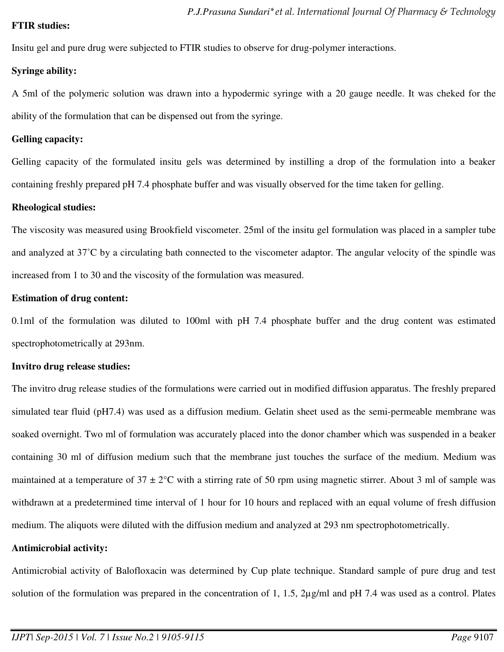### **FTIR studies:**

Insitu gel and pure drug were subjected to FTIR studies to observe for drug-polymer interactions.

## **Syringe ability:**

A 5ml of the polymeric solution was drawn into a hypodermic syringe with a 20 gauge needle. It was cheked for the ability of the formulation that can be dispensed out from the syringe.

## **Gelling capacity:**

Gelling capacity of the formulated insitu gels was determined by instilling a drop of the formulation into a beaker containing freshly prepared pH 7.4 phosphate buffer and was visually observed for the time taken for gelling.

## **Rheological studies:**

The viscosity was measured using Brookfield viscometer. 25ml of the insitu gel formulation was placed in a sampler tube and analyzed at 37˚C by a circulating bath connected to the viscometer adaptor. The angular velocity of the spindle was increased from 1 to 30 and the viscosity of the formulation was measured.

## **Estimation of drug content:**

0.1ml of the formulation was diluted to 100ml with pH 7.4 phosphate buffer and the drug content was estimated spectrophotometrically at 293nm.

## **Invitro drug release studies:**

The invitro drug release studies of the formulations were carried out in modified diffusion apparatus. The freshly prepared simulated tear fluid (pH7.4) was used as a diffusion medium. Gelatin sheet used as the semi-permeable membrane was soaked overnight. Two ml of formulation was accurately placed into the donor chamber which was suspended in a beaker containing 30 ml of diffusion medium such that the membrane just touches the surface of the medium. Medium was maintained at a temperature of  $37 \pm 2$ °C with a stirring rate of 50 rpm using magnetic stirrer. About 3 ml of sample was withdrawn at a predetermined time interval of 1 hour for 10 hours and replaced with an equal volume of fresh diffusion medium. The aliquots were diluted with the diffusion medium and analyzed at 293 nm spectrophotometrically.

## **Antimicrobial activity:**

Antimicrobial activity of Balofloxacin was determined by Cup plate technique. Standard sample of pure drug and test solution of the formulation was prepared in the concentration of 1, 1.5, 2µg/ml and pH 7.4 was used as a control. Plates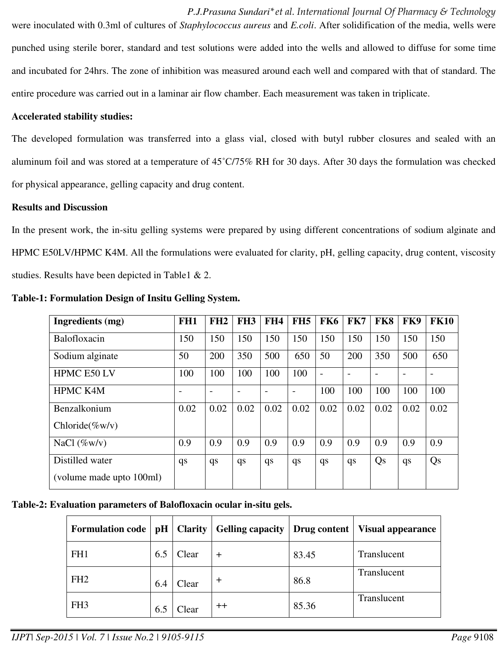*P.J.Prasuna Sundari\*et al. International Journal Of Pharmacy & Technology* were inoculated with 0.3ml of cultures of *Staphylococcus aureus* and *E.coli*. After solidification of the media, wells were punched using sterile borer, standard and test solutions were added into the wells and allowed to diffuse for some time and incubated for 24hrs. The zone of inhibition was measured around each well and compared with that of standard. The entire procedure was carried out in a laminar air flow chamber. Each measurement was taken in triplicate.

### **Accelerated stability studies:**

The developed formulation was transferred into a glass vial, closed with butyl rubber closures and sealed with an aluminum foil and was stored at a temperature of 45˚C/75% RH for 30 days. After 30 days the formulation was checked for physical appearance, gelling capacity and drug content.

#### **Results and Discussion**

In the present work, the in-situ gelling systems were prepared by using different concentrations of sodium alginate and HPMC E50LV/HPMC K4M. All the formulations were evaluated for clarity, pH, gelling capacity, drug content, viscosity studies. Results have been depicted in Table1 & 2.

| Ingredients (mg)         | FH <sub>1</sub>          | FH2                      | FH <sub>3</sub>          | FH4                      | FH <sub>5</sub>          | FK6  | FK7                      | FK8  | FK9  | <b>FK10</b> |
|--------------------------|--------------------------|--------------------------|--------------------------|--------------------------|--------------------------|------|--------------------------|------|------|-------------|
| Balofloxacin             | 150                      | 150                      | 150                      | 150                      | 150                      | 150  | 150                      | 150  | 150  | 150         |
| Sodium alginate          | 50                       | 200                      | 350                      | 500                      | 650                      | 50   | 200                      | 350  | 500  | 650         |
| HPMC E50 LV              | 100                      | 100                      | 100                      | 100                      | 100                      |      | $\overline{\phantom{0}}$ |      |      |             |
| <b>HPMC K4M</b>          | $\overline{\phantom{0}}$ | $\overline{\phantom{a}}$ | $\overline{\phantom{a}}$ | $\overline{\phantom{0}}$ | $\overline{\phantom{a}}$ | 100  | 100                      | 100  | 100  | 100         |
| Benzalkonium             | 0.02                     | 0.02                     | 0.02                     | 0.02                     | 0.02                     | 0.02 | 0.02                     | 0.02 | 0.02 | 0.02        |
| Chloride $(\%w/v)$       |                          |                          |                          |                          |                          |      |                          |      |      |             |
| NaCl $(\%w/v)$           | 0.9                      | 0.9                      | 0.9                      | 0.9                      | 0.9                      | 0.9  | 0.9                      | 0.9  | 0.9  | 0.9         |
| Distilled water          | qs                       | qs                       | qs                       | qs                       | qs                       | qs   | qs                       | Qs   | qs   | Qs          |
| (volume made upto 100ml) |                          |                          |                          |                          |                          |      |                          |      |      |             |

**Table-1: Formulation Design of Insitu Gelling System.** 

## **Table-2: Evaluation parameters of Balofloxacin ocular in-situ gels.**

| Formulation code   pH   Clarity |     |       | Gelling capacity   Drug content |       | <b>Visual appearance</b> |
|---------------------------------|-----|-------|---------------------------------|-------|--------------------------|
| FH1                             | 6.5 | Clear | $\,{}^+$                        | 83.45 | Translucent              |
| FH <sub>2</sub>                 | 6.4 | Clear | $\pm$                           | 86.8  | Translucent              |
| FH <sub>3</sub>                 | 6.5 | Clear | $^{\mathrm{++}}$                | 85.36 | Translucent              |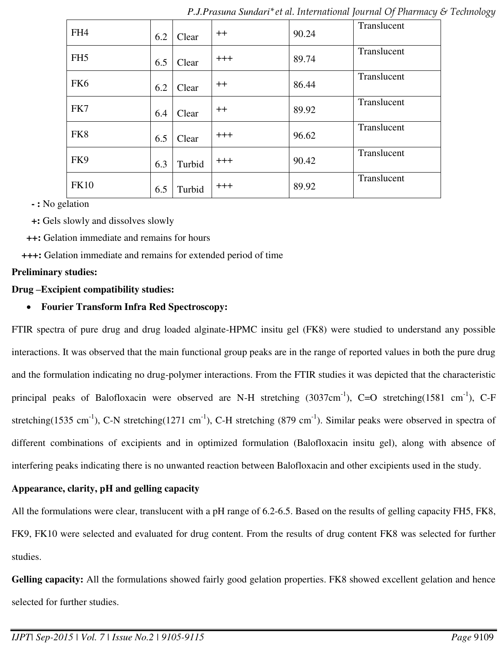| FH4             | 6.2 | Clear  | $++$     | 90.24 | Translucent |
|-----------------|-----|--------|----------|-------|-------------|
| FH <sub>5</sub> | 6.5 | Clear  | $+++$    | 89.74 | Translucent |
| FK <sub>6</sub> | 6.2 | Clear  | $^{++}$  | 86.44 | Translucent |
| FK7             | 6.4 | Clear  | $^{++}$  | 89.92 | Translucent |
| FK8             | 6.5 | Clear  | $+++$    | 96.62 | Translucent |
| FK9             | 6.3 | Turbid | $+++$    | 90.42 | Translucent |
| <b>FK10</b>     | 6.5 | Turbid | $^{+++}$ | 89.92 | Translucent |

*P.J.Prasuna Sundari\*et al. International Journal Of Pharmacy & Technology*

**- :** No gelation

**+:** Gels slowly and dissolves slowly

**++:** Gelation immediate and remains for hours

**+++:** Gelation immediate and remains for extended period of time

#### **Preliminary studies:**

### **Drug –Excipient compatibility studies:**

## **Fourier Transform Infra Red Spectroscopy:**

FTIR spectra of pure drug and drug loaded alginate-HPMC insitu gel (FK8) were studied to understand any possible interactions. It was observed that the main functional group peaks are in the range of reported values in both the pure drug and the formulation indicating no drug-polymer interactions. From the FTIR studies it was depicted that the characteristic principal peaks of Balofloxacin were observed are N-H stretching  $(3037cm^{-1})$ , C=O stretching $(1581 cm^{-1})$ , C-F stretching(1535 cm<sup>-1</sup>), C-N stretching(1271 cm<sup>-1</sup>), C-H stretching (879 cm<sup>-1</sup>). Similar peaks were observed in spectra of different combinations of excipients and in optimized formulation (Balofloxacin insitu gel), along with absence of interfering peaks indicating there is no unwanted reaction between Balofloxacin and other excipients used in the study.

## **Appearance, clarity, pH and gelling capacity**

All the formulations were clear, translucent with a pH range of 6.2-6.5. Based on the results of gelling capacity FH5, FK8, FK9, FK10 were selected and evaluated for drug content. From the results of drug content FK8 was selected for further studies.

Gelling capacity: All the formulations showed fairly good gelation properties. FK8 showed excellent gelation and hence selected for further studies.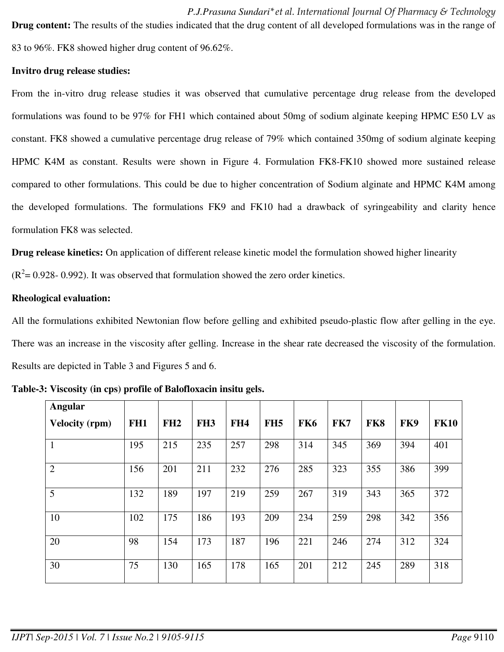*P.J.Prasuna Sundari\*et al. International Journal Of Pharmacy & Technology* **Drug content:** The results of the studies indicated that the drug content of all developed formulations was in the range of 83 to 96%. FK8 showed higher drug content of 96.62%.

### **Invitro drug release studies:**

From the in-vitro drug release studies it was observed that cumulative percentage drug release from the developed formulations was found to be 97% for FH1 which contained about 50mg of sodium alginate keeping HPMC E50 LV as constant. FK8 showed a cumulative percentage drug release of 79% which contained 350mg of sodium alginate keeping HPMC K4M as constant. Results were shown in Figure 4. Formulation FK8-FK10 showed more sustained release compared to other formulations. This could be due to higher concentration of Sodium alginate and HPMC K4M among the developed formulations. The formulations FK9 and FK10 had a drawback of syringeability and clarity hence formulation FK8 was selected.

**Drug release kinetics:** On application of different release kinetic model the formulation showed higher linearity

 $(R^2 = 0.928 - 0.992)$ . It was observed that formulation showed the zero order kinetics.

### **Rheological evaluation:**

All the formulations exhibited Newtonian flow before gelling and exhibited pseudo-plastic flow after gelling in the eye. There was an increase in the viscosity after gelling. Increase in the shear rate decreased the viscosity of the formulation. Results are depicted in Table 3 and Figures 5 and 6.

| Angular               |                 |     |                 |                 |                 |                 |     |     |     |             |
|-----------------------|-----------------|-----|-----------------|-----------------|-----------------|-----------------|-----|-----|-----|-------------|
| <b>Velocity (rpm)</b> | FH <sub>1</sub> | FH2 | FH <sub>3</sub> | FH <sub>4</sub> | FH <sub>5</sub> | FK <sub>6</sub> | FK7 | FK8 | FK9 | <b>FK10</b> |
|                       | 195             | 215 | 235             | 257             | 298             | 314             | 345 | 369 | 394 | 401         |
| 2                     | 156             | 201 | 211             | 232             | 276             | 285             | 323 | 355 | 386 | 399         |
| $\overline{5}$        | 132             | 189 | 197             | 219             | 259             | 267             | 319 | 343 | 365 | 372         |
| 10                    | 102             | 175 | 186             | 193             | 209             | 234             | 259 | 298 | 342 | 356         |
| 20                    | 98              | 154 | 173             | 187             | 196             | 221             | 246 | 274 | 312 | 324         |
| 30                    | 75              | 130 | 165             | 178             | 165             | 201             | 212 | 245 | 289 | 318         |

**Table-3: Viscosity (in cps) profile of Balofloxacin insitu gels.**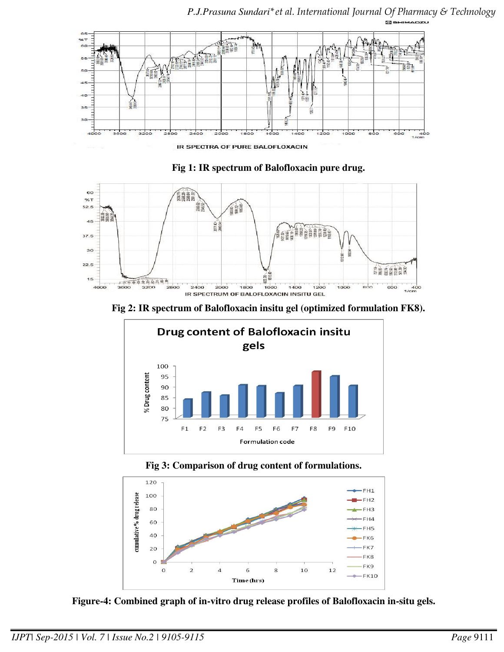

*P.J.Prasuna Sundari\*et al. International Journal Of Pharmacy & Technology*





**Fig 2: IR spectrum of Balofloxacin insitu gel (optimized formulation FK8).** 



**Fig 3: Comparison of drug content of formulations.** 



**Figure-4: Combined graph of in-vitro drug release profiles of Balofloxacin in-situ gels.**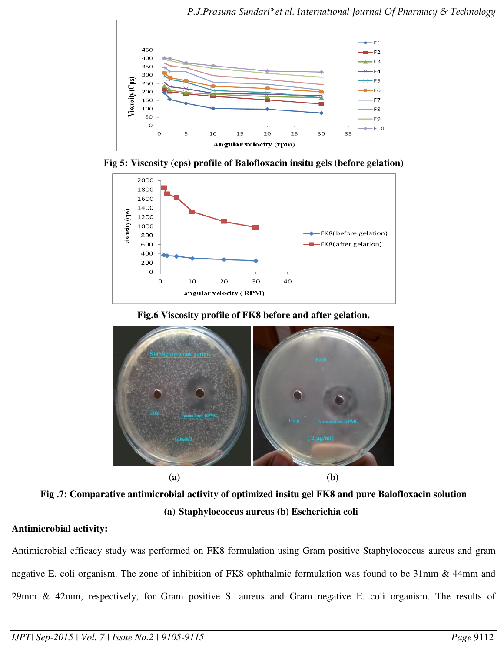

**Fig 5: Viscosity (cps) profile of Balofloxacin insitu gels (before gelation)** 



**Fig.6 Viscosity profile of FK8 before and after gelation.** 



**Fig .7: Comparative antimicrobial activity of optimized insitu gel FK8 and pure Balofloxacin solution (a) Staphylococcus aureus (b) Escherichia coli** 

# **Antimicrobial activity:**

Antimicrobial efficacy study was performed on FK8 formulation using Gram positive Staphylococcus aureus and gram negative E. coli organism. The zone of inhibition of FK8 ophthalmic formulation was found to be 31mm & 44mm and 29mm & 42mm, respectively, for Gram positive S. aureus and Gram negative E. coli organism. The results of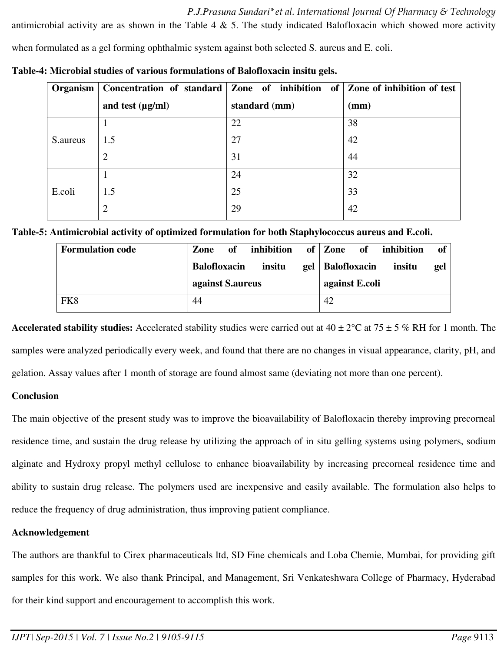*P.J.Prasuna Sundari\*et al. International Journal Of Pharmacy & Technology*

antimicrobial activity are as shown in the Table 4  $\&$  5. The study indicated Balofloxacin which showed more activity when formulated as a gel forming ophthalmic system against both selected S. aureus and E. coli.

|           | Organism   Concentration of standard   Zone of inhibition of   Zone of inhibition of test |               |      |
|-----------|-------------------------------------------------------------------------------------------|---------------|------|
|           | and test $(\mu g/ml)$                                                                     | standard (mm) | (mm) |
|           |                                                                                           | 22            | 38   |
| S. aureus | 1.5                                                                                       | 27            | 42   |
|           | $\overline{2}$                                                                            | 31            | 44   |
|           |                                                                                           | 24            | 32   |
| E.coli    | 1.5                                                                                       | 25            | 33   |
|           | $\overline{2}$                                                                            | 29            | 42   |
|           |                                                                                           |               |      |

**Table-4: Microbial studies of various formulations of Balofloxacin insitu gels.** 

|  |  |  | Table-5: Antimicrobial activity of optimized formulation for both Staphylococcus aureus and E.coli. |
|--|--|--|-----------------------------------------------------------------------------------------------------|
|  |  |  |                                                                                                     |
|  |  |  |                                                                                                     |
|  |  |  |                                                                                                     |

| <b>Formulation code</b> | Zone                | of | inhibition |     | of   Zone      | <b>of</b> | inhibition | of  |
|-------------------------|---------------------|----|------------|-----|----------------|-----------|------------|-----|
|                         | <b>Balofloxacin</b> |    | insitu     | gel | Balofloxacin   |           | insitu     | gel |
|                         | against S. aureus   |    |            |     | against E.coli |           |            |     |
| FK8                     | 44                  |    |            |     | 42             |           |            |     |

**Accelerated stability studies:** Accelerated stability studies were carried out at  $40 \pm 2^{\circ}$ C at  $75 \pm 5$  % RH for 1 month. The samples were analyzed periodically every week, and found that there are no changes in visual appearance, clarity, pH, and gelation. Assay values after 1 month of storage are found almost same (deviating not more than one percent).

## **Conclusion**

The main objective of the present study was to improve the bioavailability of Balofloxacin thereby improving precorneal residence time, and sustain the drug release by utilizing the approach of in situ gelling systems using polymers, sodium alginate and Hydroxy propyl methyl cellulose to enhance bioavailability by increasing precorneal residence time and ability to sustain drug release. The polymers used are inexpensive and easily available. The formulation also helps to reduce the frequency of drug administration, thus improving patient compliance.

## **Acknowledgement**

The authors are thankful to Cirex pharmaceuticals ltd, SD Fine chemicals and Loba Chemie, Mumbai, for providing gift samples for this work. We also thank Principal, and Management, Sri Venkateshwara College of Pharmacy, Hyderabad for their kind support and encouragement to accomplish this work.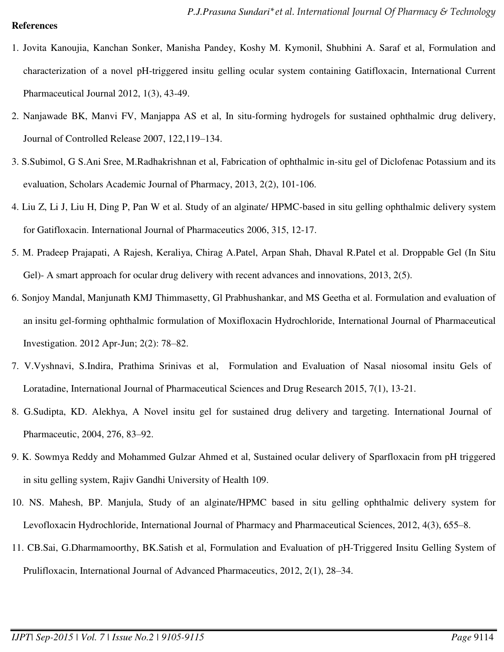#### **References**

- 1. Jovita Kanoujia, Kanchan Sonker, Manisha Pandey, Koshy M. Kymonil, Shubhini A. Saraf et al, Formulation and characterization of a novel pH-triggered insitu gelling ocular system containing Gatifloxacin, International Current Pharmaceutical Journal 2012, 1(3), 43-49.
- 2. Nanjawade BK, Manvi FV, Manjappa AS et al, In situ-forming hydrogels for sustained ophthalmic drug delivery, Journal of Controlled Release 2007, 122,119–134.
- 3. S.Subimol, G S.Ani Sree, M.Radhakrishnan et al, Fabrication of ophthalmic in-situ gel of Diclofenac Potassium and its evaluation, Scholars Academic Journal of Pharmacy, 2013, 2(2), 101-106.
- 4. Liu Z, Li J, Liu H, Ding P, Pan W et al. Study of an alginate/ HPMC-based in situ gelling ophthalmic delivery system for Gatifloxacin. International Journal of Pharmaceutics 2006, 315, 12-17.
- 5. M. Pradeep Prajapati, A Rajesh, Keraliya, Chirag A.Patel, Arpan Shah, Dhaval R.Patel et al. Droppable Gel (In Situ Gel)- A smart approach for ocular drug delivery with recent advances and innovations, 2013, 2(5).
- 6. Sonjoy Mandal, Manjunath KMJ Thimmasetty, Gl Prabhushankar, and MS Geetha et al. Formulation and evaluation of an insitu gel-forming ophthalmic formulation of Moxifloxacin Hydrochloride, International Journal of Pharmaceutical Investigation. 2012 Apr-Jun; 2(2): 78–82.
- 7. V.Vyshnavi, S.Indira, Prathima Srinivas et al, Formulation and Evaluation of Nasal niosomal insitu Gels of Loratadine, International Journal of Pharmaceutical Sciences and Drug Research 2015, 7(1), 13-21.
- 8. G.Sudipta, KD. Alekhya, A Novel insitu gel for sustained drug delivery and targeting. International Journal of Pharmaceutic, 2004, 276, 83–92.
- 9. K. Sowmya Reddy and Mohammed Gulzar Ahmed et al, Sustained ocular delivery of Sparfloxacin from pH triggered in situ gelling system, Rajiv Gandhi University of Health 109.
- 10. NS. Mahesh, BP. Manjula, Study of an alginate/HPMC based in situ gelling ophthalmic delivery system for Levofloxacin Hydrochloride, International Journal of Pharmacy and Pharmaceutical Sciences, 2012, 4(3), 655–8.
- 11. CB.Sai, G.Dharmamoorthy, BK.Satish et al, Formulation and Evaluation of pH-Triggered Insitu Gelling System of Prulifloxacin, International Journal of Advanced Pharmaceutics, 2012, 2(1), 28–34.